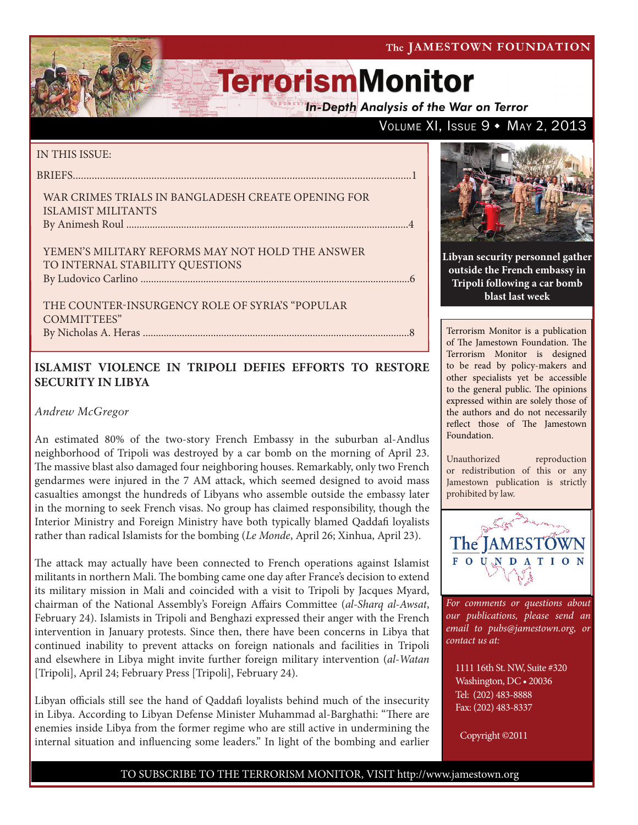The JAMESTOWN FOUNDATION

VOLUME XI, ISSUE 9 . MAY 2, 2013

# **TerrorismMonitor**

**In-Depth Analysis of the War on Terror** 

#### IN THIS ISSUE:

briefs.............................................................................................................................1

#### War Crimes Trials in Bangladesh Create Opening for Islamist Militants By Animesh Roul ............................................................................................................4

Yemen's Military Reforms May Not Hold the Answer to Internal Stability Questions by Ludovico Carlino .......................................................................................................6

The Counter-Insurgency Role of Syria's "Popular COMMITTEES" By Nicholas A. Heras ......................................................................................................8

### **ISLAMIST VIOLENCE IN TRIPOLI DEFIES EFFORTS TO RESTORE SECURITY IN LIBYA**

### *Andrew McGregor*

An estimated 80% of the two-story French Embassy in the suburban al-Andlus neighborhood of Tripoli was destroyed by a car bomb on the morning of April 23. The massive blast also damaged four neighboring houses. Remarkably, only two French gendarmes were injured in the 7 AM attack, which seemed designed to avoid mass casualties amongst the hundreds of Libyans who assemble outside the embassy later in the morning to seek French visas. No group has claimed responsibility, though the Interior Ministry and Foreign Ministry have both typically blamed Qaddafi loyalists rather than radical Islamists for the bombing (*Le Monde*, April 26; Xinhua, April 23).

The attack may actually have been connected to French operations against Islamist militants in northern Mali. The bombing came one day after France's decision to extend its military mission in Mali and coincided with a visit to Tripoli by Jacques Myard, chairman of the National Assembly's Foreign Affairs Committee (*al-Sharq al-Awsat*, February 24). Islamists in Tripoli and Benghazi expressed their anger with the French intervention in January protests. Since then, there have been concerns in Libya that continued inability to prevent attacks on foreign nationals and facilities in Tripoli and elsewhere in Libya might invite further foreign military intervention (*al-Watan* [Tripoli], April 24; February Press [Tripoli], February 24).

Libyan officials still see the hand of Qaddafi loyalists behind much of the insecurity in Libya. According to Libyan Defense Minister Muhammad al-Barghathi: "There are enemies inside Libya from the former regime who are still active in undermining the internal situation and influencing some leaders." In light of the bombing and earlier



**Libyan security personnel gather outside the French embassy in Tripoli following a car bomb blast last week**

Terrorism Monitor is a publication of The Jamestown Foundation. The Terrorism Monitor is designed to be read by policy-makers and other specialists yet be accessible to the general public. The opinions expressed within are solely those of the authors and do not necessarily reflect those of The Jamestown Foundation.

Unauthorized reproduction or redistribution of this or any Jamestown publication is strictly prohibited by law.



*For comments or questions about our publications, please send an email to pubs@jamestown.org, or contact us at:* 

1111 16th St. NW, Suite #320 Washington, DC • 20036 Tel: (202) 483-8888 Fax: (202) 483-8337

Copyright ©2011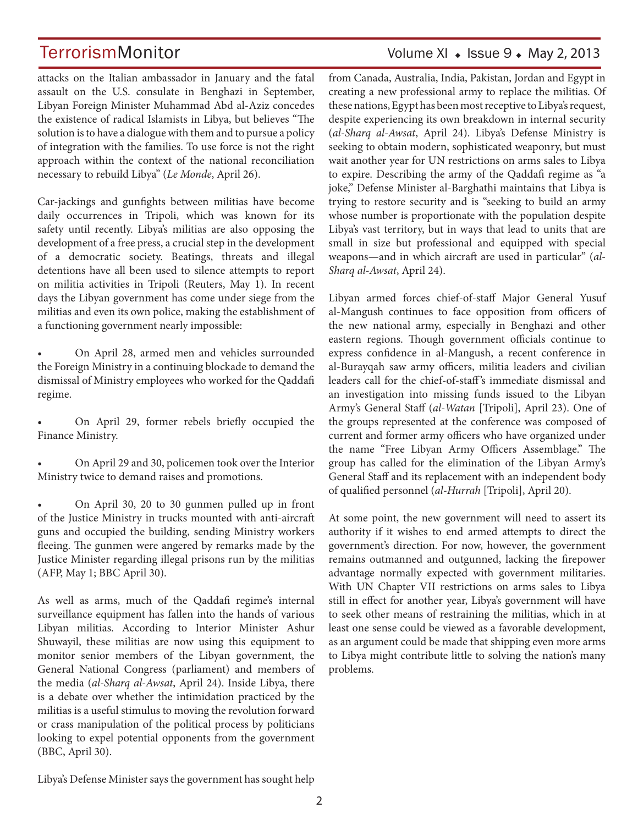## TerrorismMonitor Volume XI + Issue 9 + May 2, 2013

attacks on the Italian ambassador in January and the fatal assault on the U.S. consulate in Benghazi in September, Libyan Foreign Minister Muhammad Abd al-Aziz concedes the existence of radical Islamists in Libya, but believes "The solution is to have a dialogue with them and to pursue a policy of integration with the families. To use force is not the right approach within the context of the national reconciliation necessary to rebuild Libya" (*Le Monde*, April 26).

Car-jackings and gunfights between militias have become daily occurrences in Tripoli, which was known for its safety until recently. Libya's militias are also opposing the development of a free press, a crucial step in the development of a democratic society. Beatings, threats and illegal detentions have all been used to silence attempts to report on militia activities in Tripoli (Reuters, May 1). In recent days the Libyan government has come under siege from the militias and even its own police, making the establishment of a functioning government nearly impossible:

• On April 28, armed men and vehicles surrounded the Foreign Ministry in a continuing blockade to demand the dismissal of Ministry employees who worked for the Qaddafi regime.

• On April 29, former rebels briefly occupied the Finance Ministry.

• On April 29 and 30, policemen took over the Interior Ministry twice to demand raises and promotions.

• On April 30, 20 to 30 gunmen pulled up in front of the Justice Ministry in trucks mounted with anti-aircraft guns and occupied the building, sending Ministry workers fleeing. The gunmen were angered by remarks made by the Justice Minister regarding illegal prisons run by the militias (AFP, May 1; BBC April 30).

As well as arms, much of the Qaddafi regime's internal surveillance equipment has fallen into the hands of various Libyan militias. According to Interior Minister Ashur Shuwayil, these militias are now using this equipment to monitor senior members of the Libyan government, the General National Congress (parliament) and members of the media (*al-Sharq al-Awsat*, April 24). Inside Libya, there is a debate over whether the intimidation practiced by the militias is a useful stimulus to moving the revolution forward or crass manipulation of the political process by politicians looking to expel potential opponents from the government (BBC, April 30).

from Canada, Australia, India, Pakistan, Jordan and Egypt in creating a new professional army to replace the militias. Of these nations, Egypt has been most receptive to Libya's request, despite experiencing its own breakdown in internal security (*al-Sharq al-Awsat*, April 24). Libya's Defense Ministry is seeking to obtain modern, sophisticated weaponry, but must wait another year for UN restrictions on arms sales to Libya to expire. Describing the army of the Qaddafi regime as "a joke," Defense Minister al-Barghathi maintains that Libya is trying to restore security and is "seeking to build an army whose number is proportionate with the population despite Libya's vast territory, but in ways that lead to units that are small in size but professional and equipped with special weapons—and in which aircraft are used in particular" (*al-Sharq al-Awsat*, April 24).

Libyan armed forces chief-of-staff Major General Yusuf al-Mangush continues to face opposition from officers of the new national army, especially in Benghazi and other eastern regions. Though government officials continue to express confidence in al-Mangush, a recent conference in al-Burayqah saw army officers, militia leaders and civilian leaders call for the chief-of-staff 's immediate dismissal and an investigation into missing funds issued to the Libyan Army's General Staff (*al-Watan* [Tripoli], April 23). One of the groups represented at the conference was composed of current and former army officers who have organized under the name "Free Libyan Army Officers Assemblage." The group has called for the elimination of the Libyan Army's General Staff and its replacement with an independent body of qualified personnel (*al-Hurrah* [Tripoli], April 20).

At some point, the new government will need to assert its authority if it wishes to end armed attempts to direct the government's direction. For now, however, the government remains outmanned and outgunned, lacking the firepower advantage normally expected with government militaries. With UN Chapter VII restrictions on arms sales to Libya still in effect for another year, Libya's government will have to seek other means of restraining the militias, which in at least one sense could be viewed as a favorable development, as an argument could be made that shipping even more arms to Libya might contribute little to solving the nation's many problems.

Libya's Defense Minister says the government has sought help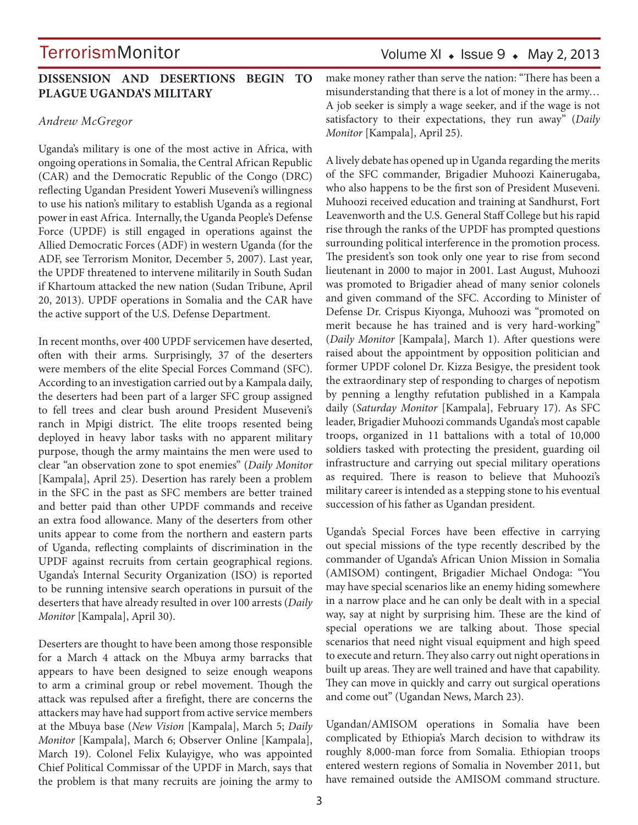### **DISSENSION AND DESERTIONS BEGIN TO PLAGUE UGANDA'S MILITARY**

#### *Andrew McGregor*

Uganda's military is one of the most active in Africa, with ongoing operations in Somalia, the Central African Republic (CAR) and the Democratic Republic of the Congo (DRC) reflecting Ugandan President Yoweri Museveni's willingness to use his nation's military to establish Uganda as a regional power in east Africa. Internally, the Uganda People's Defense Force (UPDF) is still engaged in operations against the Allied Democratic Forces (ADF) in western Uganda (for the ADF, see Terrorism Monitor, December 5, 2007). Last year, the UPDF threatened to intervene militarily in South Sudan if Khartoum attacked the new nation (Sudan Tribune, April 20, 2013). UPDF operations in Somalia and the CAR have the active support of the U.S. Defense Department.

In recent months, over 400 UPDF servicemen have deserted, often with their arms. Surprisingly, 37 of the deserters were members of the elite Special Forces Command (SFC). According to an investigation carried out by a Kampala daily, the deserters had been part of a larger SFC group assigned to fell trees and clear bush around President Museveni's ranch in Mpigi district. The elite troops resented being deployed in heavy labor tasks with no apparent military purpose, though the army maintains the men were used to clear "an observation zone to spot enemies" (*Daily Monitor* [Kampala], April 25). Desertion has rarely been a problem in the SFC in the past as SFC members are better trained and better paid than other UPDF commands and receive an extra food allowance. Many of the deserters from other units appear to come from the northern and eastern parts of Uganda, reflecting complaints of discrimination in the UPDF against recruits from certain geographical regions. Uganda's Internal Security Organization (ISO) is reported to be running intensive search operations in pursuit of the deserters that have already resulted in over 100 arrests (*Daily Monitor* [Kampala], April 30).

Deserters are thought to have been among those responsible for a March 4 attack on the Mbuya army barracks that appears to have been designed to seize enough weapons to arm a criminal group or rebel movement. Though the attack was repulsed after a firefight, there are concerns the attackers may have had support from active service members at the Mbuya base (*New Vision* [Kampala], March 5; *Daily Monitor* [Kampala], March 6; Observer Online [Kampala], March 19). Colonel Felix Kulayigye, who was appointed Chief Political Commissar of the UPDF in March, says that the problem is that many recruits are joining the army to

## Volume XI  $\bullet$  Issue 9  $\bullet$  May 2, 2013

make money rather than serve the nation: "There has been a misunderstanding that there is a lot of money in the army… A job seeker is simply a wage seeker, and if the wage is not satisfactory to their expectations, they run away" (*Daily Monitor* [Kampala], April 25).

A lively debate has opened up in Uganda regarding the merits of the SFC commander, Brigadier Muhoozi Kainerugaba, who also happens to be the first son of President Museveni. Muhoozi received education and training at Sandhurst, Fort Leavenworth and the U.S. General Staff College but his rapid rise through the ranks of the UPDF has prompted questions surrounding political interference in the promotion process. The president's son took only one year to rise from second lieutenant in 2000 to major in 2001. Last August, Muhoozi was promoted to Brigadier ahead of many senior colonels and given command of the SFC. According to Minister of Defense Dr. Crispus Kiyonga, Muhoozi was "promoted on merit because he has trained and is very hard-working" (*Daily Monitor* [Kampala], March 1). After questions were raised about the appointment by opposition politician and former UPDF colonel Dr. Kizza Besigye, the president took the extraordinary step of responding to charges of nepotism by penning a lengthy refutation published in a Kampala daily (*Saturday Monitor* [Kampala], February 17). As SFC leader, Brigadier Muhoozi commands Uganda's most capable troops, organized in 11 battalions with a total of 10,000 soldiers tasked with protecting the president, guarding oil infrastructure and carrying out special military operations as required. There is reason to believe that Muhoozi's military career is intended as a stepping stone to his eventual succession of his father as Ugandan president.

Uganda's Special Forces have been effective in carrying out special missions of the type recently described by the commander of Uganda's African Union Mission in Somalia (AMISOM) contingent, Brigadier Michael Ondoga: "You may have special scenarios like an enemy hiding somewhere in a narrow place and he can only be dealt with in a special way, say at night by surprising him. These are the kind of special operations we are talking about. Those special scenarios that need night visual equipment and high speed to execute and return. They also carry out night operations in built up areas. They are well trained and have that capability. They can move in quickly and carry out surgical operations and come out" (Ugandan News, March 23).

Ugandan/AMISOM operations in Somalia have been complicated by Ethiopia's March decision to withdraw its roughly 8,000-man force from Somalia. Ethiopian troops entered western regions of Somalia in November 2011, but have remained outside the AMISOM command structure.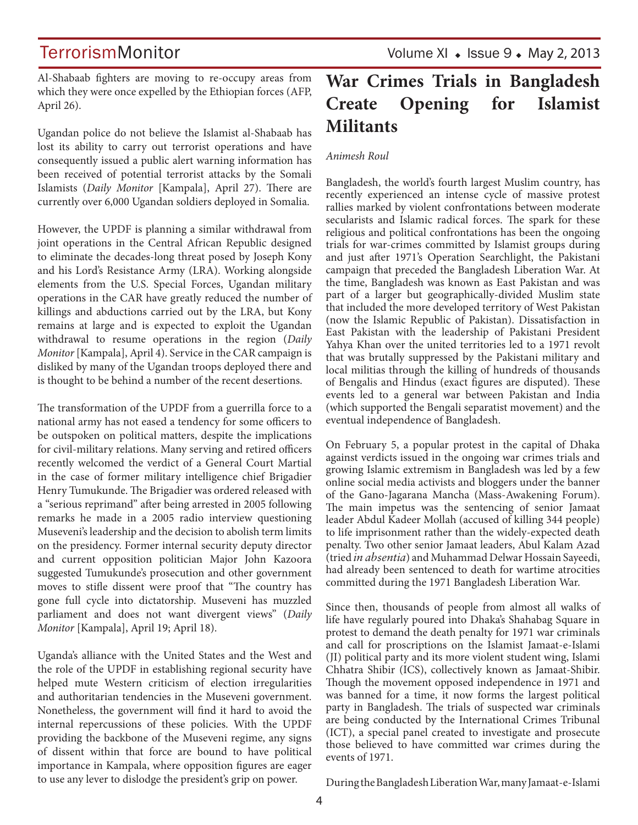Al-Shabaab fighters are moving to re-occupy areas from which they were once expelled by the Ethiopian forces (AFP, April 26).

Ugandan police do not believe the Islamist al-Shabaab has lost its ability to carry out terrorist operations and have consequently issued a public alert warning information has been received of potential terrorist attacks by the Somali Islamists (*Daily Monitor* [Kampala], April 27). There are currently over 6,000 Ugandan soldiers deployed in Somalia.

However, the UPDF is planning a similar withdrawal from joint operations in the Central African Republic designed to eliminate the decades-long threat posed by Joseph Kony and his Lord's Resistance Army (LRA). Working alongside elements from the U.S. Special Forces, Ugandan military operations in the CAR have greatly reduced the number of killings and abductions carried out by the LRA, but Kony remains at large and is expected to exploit the Ugandan withdrawal to resume operations in the region (*Daily Monitor* [Kampala], April 4). Service in the CAR campaign is disliked by many of the Ugandan troops deployed there and is thought to be behind a number of the recent desertions.

The transformation of the UPDF from a guerrilla force to a national army has not eased a tendency for some officers to be outspoken on political matters, despite the implications for civil-military relations. Many serving and retired officers recently welcomed the verdict of a General Court Martial in the case of former military intelligence chief Brigadier Henry Tumukunde. The Brigadier was ordered released with a "serious reprimand" after being arrested in 2005 following remarks he made in a 2005 radio interview questioning Museveni's leadership and the decision to abolish term limits on the presidency. Former internal security deputy director and current opposition politician Major John Kazoora suggested Tumukunde's prosecution and other government moves to stifle dissent were proof that "The country has gone full cycle into dictatorship. Museveni has muzzled parliament and does not want divergent views" (*Daily Monitor* [Kampala], April 19; April 18).

Uganda's alliance with the United States and the West and the role of the UPDF in establishing regional security have helped mute Western criticism of election irregularities and authoritarian tendencies in the Museveni government. Nonetheless, the government will find it hard to avoid the internal repercussions of these policies. With the UPDF providing the backbone of the Museveni regime, any signs of dissent within that force are bound to have political importance in Kampala, where opposition figures are eager to use any lever to dislodge the president's grip on power.

## **War Crimes Trials in Bangladesh Create Opening for Islamist Militants**

#### *Animesh Roul*

Bangladesh, the world's fourth largest Muslim country, has recently experienced an intense cycle of massive protest rallies marked by violent confrontations between moderate secularists and Islamic radical forces. The spark for these religious and political confrontations has been the ongoing trials for war-crimes committed by Islamist groups during and just after 1971's Operation Searchlight, the Pakistani campaign that preceded the Bangladesh Liberation War. At the time, Bangladesh was known as East Pakistan and was part of a larger but geographically-divided Muslim state that included the more developed territory of West Pakistan (now the Islamic Republic of Pakistan). Dissatisfaction in East Pakistan with the leadership of Pakistani President Yahya Khan over the united territories led to a 1971 revolt that was brutally suppressed by the Pakistani military and local militias through the killing of hundreds of thousands of Bengalis and Hindus (exact figures are disputed). These events led to a general war between Pakistan and India (which supported the Bengali separatist movement) and the eventual independence of Bangladesh.

On February 5, a popular protest in the capital of Dhaka against verdicts issued in the ongoing war crimes trials and growing Islamic extremism in Bangladesh was led by a few online social media activists and bloggers under the banner of the Gano-Jagarana Mancha (Mass-Awakening Forum). The main impetus was the sentencing of senior Jamaat leader Abdul Kadeer Mollah (accused of killing 344 people) to life imprisonment rather than the widely-expected death penalty. Two other senior Jamaat leaders, Abul Kalam Azad (tried *in absentia*) and Muhammad Delwar Hossain Sayeedi, had already been sentenced to death for wartime atrocities committed during the 1971 Bangladesh Liberation War.

Since then, thousands of people from almost all walks of life have regularly poured into Dhaka's Shahabag Square in protest to demand the death penalty for 1971 war criminals and call for proscriptions on the Islamist Jamaat-e-Islami (JI) political party and its more violent student wing, Islami Chhatra Shibir (ICS), collectively known as Jamaat-Shibir. Though the movement opposed independence in 1971 and was banned for a time, it now forms the largest political party in Bangladesh. The trials of suspected war criminals are being conducted by the International Crimes Tribunal (ICT), a special panel created to investigate and prosecute those believed to have committed war crimes during the events of 1971.

During the Bangladesh Liberation War, many Jamaat-e-Islami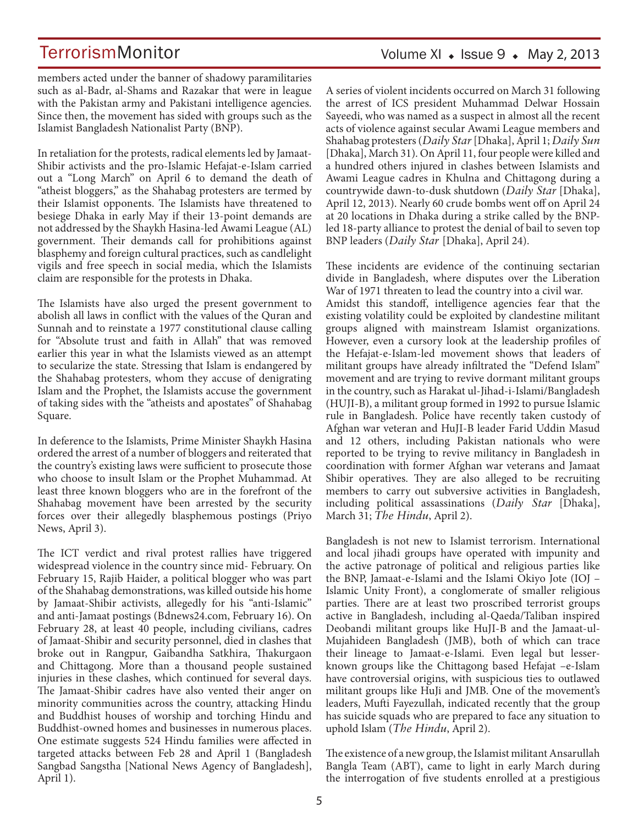Volume XI  $\bullet$  Issue 9  $\bullet$  May 2, 2013

members acted under the banner of shadowy paramilitaries such as al-Badr, al-Shams and Razakar that were in league with the Pakistan army and Pakistani intelligence agencies. Since then, the movement has sided with groups such as the Islamist Bangladesh Nationalist Party (BNP).

In retaliation for the protests, radical elements led by Jamaat-Shibir activists and the pro-Islamic Hefajat-e-Islam carried out a "Long March" on April 6 to demand the death of "atheist bloggers," as the Shahabag protesters are termed by their Islamist opponents. The Islamists have threatened to besiege Dhaka in early May if their 13-point demands are not addressed by the Shaykh Hasina-led Awami League (AL) government. Their demands call for prohibitions against blasphemy and foreign cultural practices, such as candlelight vigils and free speech in social media, which the Islamists claim are responsible for the protests in Dhaka.

The Islamists have also urged the present government to abolish all laws in conflict with the values of the Quran and Sunnah and to reinstate a 1977 constitutional clause calling for "Absolute trust and faith in Allah" that was removed earlier this year in what the Islamists viewed as an attempt to secularize the state. Stressing that Islam is endangered by the Shahabag protesters, whom they accuse of denigrating Islam and the Prophet, the Islamists accuse the government of taking sides with the "atheists and apostates" of Shahabag Square.

In deference to the Islamists, Prime Minister Shaykh Hasina ordered the arrest of a number of bloggers and reiterated that the country's existing laws were sufficient to prosecute those who choose to insult Islam or the Prophet Muhammad. At least three known bloggers who are in the forefront of the Shahabag movement have been arrested by the security forces over their allegedly blasphemous postings (Priyo News, April 3).

The ICT verdict and rival protest rallies have triggered widespread violence in the country since mid- February. On February 15, Rajib Haider, a political blogger who was part of the Shahabag demonstrations, was killed outside his home by Jamaat-Shibir activists, allegedly for his "anti-Islamic" and anti-Jamaat postings (Bdnews24.com, February 16). On February 28, at least 40 people, including civilians, cadres of Jamaat-Shibir and security personnel, died in clashes that broke out in Rangpur, Gaibandha Satkhira, Thakurgaon and Chittagong. More than a thousand people sustained injuries in these clashes, which continued for several days. The Jamaat-Shibir cadres have also vented their anger on minority communities across the country, attacking Hindu and Buddhist houses of worship and torching Hindu and Buddhist-owned homes and businesses in numerous places. One estimate suggests 524 Hindu families were affected in targeted attacks between Feb 28 and April 1 (Bangladesh Sangbad Sangstha [National News Agency of Bangladesh], April 1).

A series of violent incidents occurred on March 31 following the arrest of ICS president Muhammad Delwar Hossain Sayeedi, who was named as a suspect in almost all the recent acts of violence against secular Awami League members and Shahabag protesters (*Daily Star* [Dhaka], April 1; *Daily Sun* [Dhaka], March 31). On April 11, four people were killed and a hundred others injured in clashes between Islamists and Awami League cadres in Khulna and Chittagong during a countrywide dawn-to-dusk shutdown (*Daily Star* [Dhaka], April 12, 2013). Nearly 60 crude bombs went off on April 24 at 20 locations in Dhaka during a strike called by the BNPled 18-party alliance to protest the denial of bail to seven top BNP leaders (*Daily Star* [Dhaka], April 24).

These incidents are evidence of the continuing sectarian divide in Bangladesh, where disputes over the Liberation War of 1971 threaten to lead the country into a civil war. Amidst this standoff, intelligence agencies fear that the existing volatility could be exploited by clandestine militant groups aligned with mainstream Islamist organizations. However, even a cursory look at the leadership profiles of the Hefajat-e-Islam-led movement shows that leaders of militant groups have already infiltrated the "Defend Islam" movement and are trying to revive dormant militant groups in the country, such as Harakat ul-Jihad-i-Islami/Bangladesh (HUJI-B), a militant group formed in 1992 to pursue Islamic rule in Bangladesh. Police have recently taken custody of Afghan war veteran and HuJI-B leader Farid Uddin Masud and 12 others, including Pakistan nationals who were reported to be trying to revive militancy in Bangladesh in coordination with former Afghan war veterans and Jamaat Shibir operatives. They are also alleged to be recruiting members to carry out subversive activities in Bangladesh, including political assassinations (*Daily Star* [Dhaka], March 31; *The Hindu*, April 2).

Bangladesh is not new to Islamist terrorism. International and local jihadi groups have operated with impunity and the active patronage of political and religious parties like the BNP, Jamaat-e-Islami and the Islami Okiyo Jote (IOJ – Islamic Unity Front), a conglomerate of smaller religious parties. There are at least two proscribed terrorist groups active in Bangladesh, including al-Qaeda/Taliban inspired Deobandi militant groups like HuJI-B and the Jamaat-ul-Mujahideen Bangladesh (JMB), both of which can trace their lineage to Jamaat-e-Islami. Even legal but lesserknown groups like the Chittagong based Hefajat –e-Islam have controversial origins, with suspicious ties to outlawed militant groups like HuJi and JMB. One of the movement's leaders, Mufti Fayezullah, indicated recently that the group has suicide squads who are prepared to face any situation to uphold Islam (*The Hindu*, April 2).

The existence of a new group, the Islamist militant Ansarullah Bangla Team (ABT), came to light in early March during the interrogation of five students enrolled at a prestigious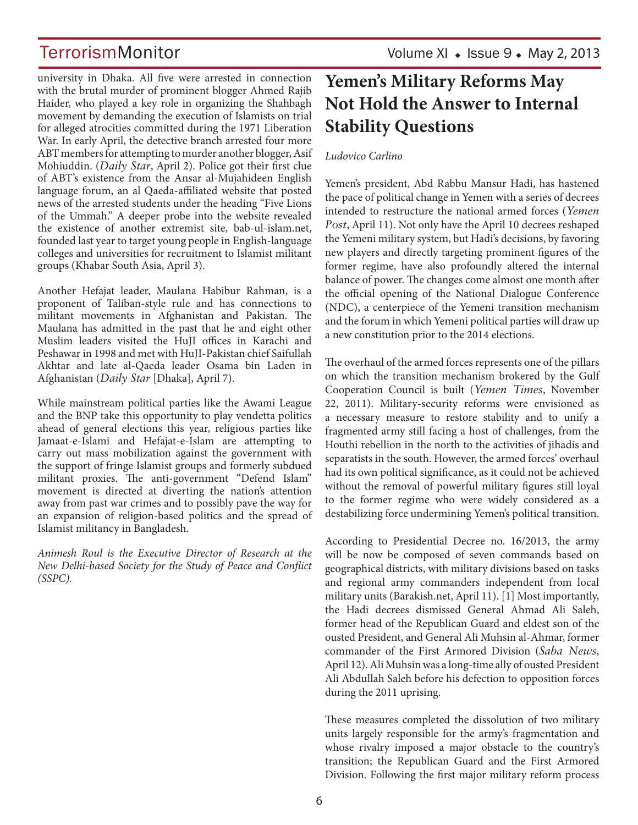TerrorismMonitor Volume XI + Issue 9 + May 2, 2013

university in Dhaka. All five were arrested in connection with the brutal murder of prominent blogger Ahmed Rajib Haider, who played a key role in organizing the Shahbagh movement by demanding the execution of Islamists on trial for alleged atrocities committed during the 1971 Liberation War. In early April, the detective branch arrested four more ABT members for attempting to murder another blogger, Asif Mohiuddin. (*Daily Star*, April 2). Police got their first clue of ABT's existence from the Ansar al-Mujahideen English language forum, an al Qaeda-affiliated website that posted news of the arrested students under the heading "Five Lions of the Ummah." A deeper probe into the website revealed the existence of another extremist site, bab-ul-islam.net, founded last year to target young people in English-language colleges and universities for recruitment to Islamist militant groups (Khabar South Asia, April 3).

Another Hefajat leader, Maulana Habibur Rahman, is a proponent of Taliban-style rule and has connections to militant movements in Afghanistan and Pakistan. The Maulana has admitted in the past that he and eight other Muslim leaders visited the HuJI offices in Karachi and Peshawar in 1998 and met with HuJI-Pakistan chief Saifullah Akhtar and late al-Qaeda leader Osama bin Laden in Afghanistan (*Daily Star* [Dhaka], April 7).

While mainstream political parties like the Awami League and the BNP take this opportunity to play vendetta politics ahead of general elections this year, religious parties like Jamaat-e-Islami and Hefajat-e-Islam are attempting to carry out mass mobilization against the government with the support of fringe Islamist groups and formerly subdued militant proxies. The anti-government "Defend Islam" movement is directed at diverting the nation's attention away from past war crimes and to possibly pave the way for an expansion of religion-based politics and the spread of Islamist militancy in Bangladesh.

*Animesh Roul is the Executive Director of Research at the New Delhi-based Society for the Study of Peace and Conflict (SSPC).*

## **Yemen's Military Reforms May Not Hold the Answer to Internal Stability Questions**

### *Ludovico Carlino*

Yemen's president, Abd Rabbu Mansur Hadi, has hastened the pace of political change in Yemen with a series of decrees intended to restructure the national armed forces (*Yemen Post*, April 11). Not only have the April 10 decrees reshaped the Yemeni military system, but Hadi's decisions, by favoring new players and directly targeting prominent figures of the former regime, have also profoundly altered the internal balance of power. The changes come almost one month after the official opening of the National Dialogue Conference (NDC), a centerpiece of the Yemeni transition mechanism and the forum in which Yemeni political parties will draw up a new constitution prior to the 2014 elections.

The overhaul of the armed forces represents one of the pillars on which the transition mechanism brokered by the Gulf Cooperation Council is built (*Yemen Times*, November 22, 2011). Military-security reforms were envisioned as a necessary measure to restore stability and to unify a fragmented army still facing a host of challenges, from the Houthi rebellion in the north to the activities of jihadis and separatists in the south. However, the armed forces' overhaul had its own political significance, as it could not be achieved without the removal of powerful military figures still loyal to the former regime who were widely considered as a destabilizing force undermining Yemen's political transition.

According to Presidential Decree no. 16/2013, the army will be now be composed of seven commands based on geographical districts, with military divisions based on tasks and regional army commanders independent from local military units (Barakish.net, April 11). [1] Most importantly, the Hadi decrees dismissed General Ahmad Ali Saleh, former head of the Republican Guard and eldest son of the ousted President, and General Ali Muhsin al-Ahmar, former commander of the First Armored Division (*Saba News*, April 12). Ali Muhsin was a long-time ally of ousted President Ali Abdullah Saleh before his defection to opposition forces during the 2011 uprising.

These measures completed the dissolution of two military units largely responsible for the army's fragmentation and whose rivalry imposed a major obstacle to the country's transition; the Republican Guard and the First Armored Division. Following the first major military reform process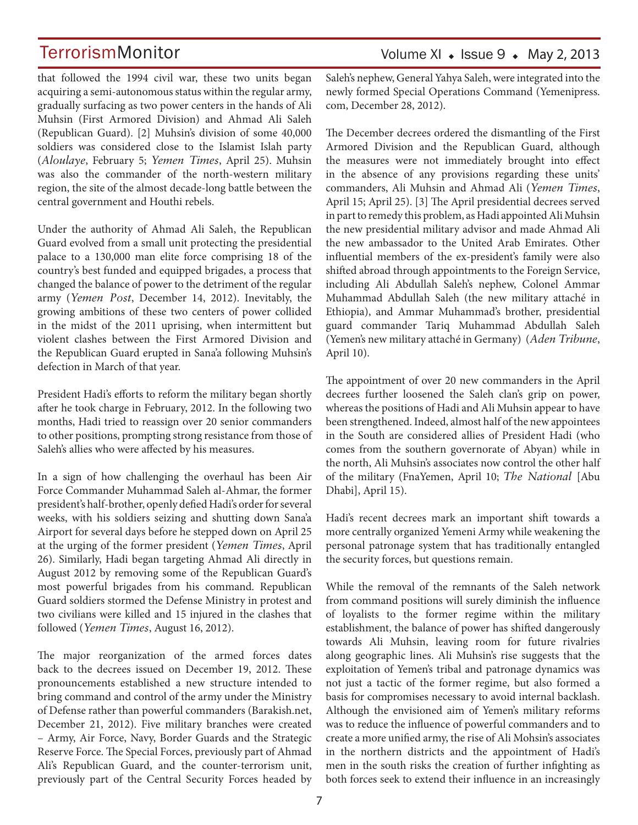that followed the 1994 civil war, these two units began acquiring a semi-autonomous status within the regular army, gradually surfacing as two power centers in the hands of Ali Muhsin (First Armored Division) and Ahmad Ali Saleh (Republican Guard). [2] Muhsin's division of some 40,000 soldiers was considered close to the Islamist Islah party (*Aloulaye*, February 5; *Yemen Times*, April 25). Muhsin was also the commander of the north-western military region, the site of the almost decade-long battle between the central government and Houthi rebels.

Under the authority of Ahmad Ali Saleh, the Republican Guard evolved from a small unit protecting the presidential palace to a 130,000 man elite force comprising 18 of the country's best funded and equipped brigades, a process that changed the balance of power to the detriment of the regular army (*Yemen Post*, December 14, 2012). Inevitably, the growing ambitions of these two centers of power collided in the midst of the 2011 uprising, when intermittent but violent clashes between the First Armored Division and the Republican Guard erupted in Sana'a following Muhsin's defection in March of that year.

President Hadi's efforts to reform the military began shortly after he took charge in February, 2012. In the following two months, Hadi tried to reassign over 20 senior commanders to other positions, prompting strong resistance from those of Saleh's allies who were affected by his measures.

In a sign of how challenging the overhaul has been Air Force Commander Muhammad Saleh al-Ahmar, the former president's half-brother, openly defied Hadi's order for several weeks, with his soldiers seizing and shutting down Sana'a Airport for several days before he stepped down on April 25 at the urging of the former president (*Yemen Times*, April 26). Similarly, Hadi began targeting Ahmad Ali directly in August 2012 by removing some of the Republican Guard's most powerful brigades from his command. Republican Guard soldiers stormed the Defense Ministry in protest and two civilians were killed and 15 injured in the clashes that followed (*Yemen Times*, August 16, 2012).

The major reorganization of the armed forces dates back to the decrees issued on December 19, 2012. These pronouncements established a new structure intended to bring command and control of the army under the Ministry of Defense rather than powerful commanders (Barakish.net, December 21, 2012). Five military branches were created – Army, Air Force, Navy, Border Guards and the Strategic Reserve Force. The Special Forces, previously part of Ahmad Ali's Republican Guard, and the counter-terrorism unit, previously part of the Central Security Forces headed by Saleh's nephew, General Yahya Saleh, were integrated into the newly formed Special Operations Command (Yemenipress. com, December 28, 2012).

The December decrees ordered the dismantling of the First Armored Division and the Republican Guard, although the measures were not immediately brought into effect in the absence of any provisions regarding these units' commanders, Ali Muhsin and Ahmad Ali (*Yemen Times*, April 15; April 25). [3] The April presidential decrees served in part to remedy this problem, as Hadi appointed Ali Muhsin the new presidential military advisor and made Ahmad Ali the new ambassador to the United Arab Emirates. Other influential members of the ex-president's family were also shifted abroad through appointments to the Foreign Service, including Ali Abdullah Saleh's nephew, Colonel Ammar Muhammad Abdullah Saleh (the new military attaché in Ethiopia), and Ammar Muhammad's brother, presidential guard commander Tariq Muhammad Abdullah Saleh (Yemen's new military attaché in Germany) (*Aden Tribune*, April 10).

The appointment of over 20 new commanders in the April decrees further loosened the Saleh clan's grip on power, whereas the positions of Hadi and Ali Muhsin appear to have been strengthened. Indeed, almost half of the new appointees in the South are considered allies of President Hadi (who comes from the southern governorate of Abyan) while in the north, Ali Muhsin's associates now control the other half of the military (FnaYemen, April 10; *The National* [Abu Dhabi], April 15).

Hadi's recent decrees mark an important shift towards a more centrally organized Yemeni Army while weakening the personal patronage system that has traditionally entangled the security forces, but questions remain.

While the removal of the remnants of the Saleh network from command positions will surely diminish the influence of loyalists to the former regime within the military establishment, the balance of power has shifted dangerously towards Ali Muhsin, leaving room for future rivalries along geographic lines. Ali Muhsin's rise suggests that the exploitation of Yemen's tribal and patronage dynamics was not just a tactic of the former regime, but also formed a basis for compromises necessary to avoid internal backlash. Although the envisioned aim of Yemen's military reforms was to reduce the influence of powerful commanders and to create a more unified army, the rise of Ali Mohsin's associates in the northern districts and the appointment of Hadi's men in the south risks the creation of further infighting as both forces seek to extend their influence in an increasingly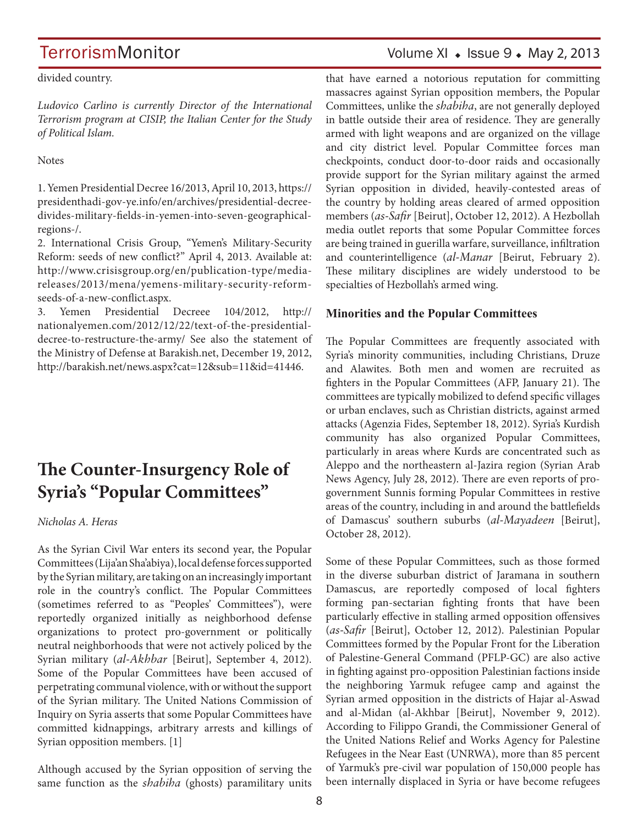## TerrorismMonitor Volume XI + Issue 9 + May 2, 2013

divided country.

*Ludovico Carlino is currently Director of the International Terrorism program at CISIP, the Italian Center for the Study of Political Islam.*

**Notes** 

1. Yemen Presidential Decree 16/2013, April 10, 2013, https:// presidenthadi-gov-ye.info/en/archives/presidential-decreedivides-military-fields-in-yemen-into-seven-geographicalregions-/.

2. International Crisis Group, "Yemen's Military-Security Reform: seeds of new conflict?" April 4, 2013. Available at: http://www.crisisgroup.org/en/publication-type/mediareleases/2013/mena/yemens-military-security-reformseeds-of-a-new-conflict.aspx.

3. Yemen Presidential Decreee 104/2012, http:// nationalyemen.com/2012/12/22/text-of-the-presidentialdecree-to-restructure-the-army/ See also the statement of the Ministry of Defense at Barakish.net, December 19, 2012, http://barakish.net/news.aspx?cat=12&sub=11&id=41446.

## **The Counter-Insurgency Role of Syria's "Popular Committees"**

*Nicholas A. Heras* 

As the Syrian Civil War enters its second year, the Popular Committees (Lija'an Sha'abiya), local defense forces supported by the Syrian military, are taking on an increasingly important role in the country's conflict. The Popular Committees (sometimes referred to as "Peoples' Committees"), were reportedly organized initially as neighborhood defense organizations to protect pro-government or politically neutral neighborhoods that were not actively policed by the Syrian military (*al-Akhbar* [Beirut], September 4, 2012). Some of the Popular Committees have been accused of perpetrating communal violence, with or without the support of the Syrian military. The United Nations Commission of Inquiry on Syria asserts that some Popular Committees have committed kidnappings, arbitrary arrests and killings of Syrian opposition members. [1]

Although accused by the Syrian opposition of serving the same function as the *shabiha* (ghosts) paramilitary units that have earned a notorious reputation for committing massacres against Syrian opposition members, the Popular Committees, unlike the *shabiha*, are not generally deployed in battle outside their area of residence. They are generally armed with light weapons and are organized on the village and city district level. Popular Committee forces man checkpoints, conduct door-to-door raids and occasionally provide support for the Syrian military against the armed Syrian opposition in divided, heavily-contested areas of the country by holding areas cleared of armed opposition members (*as-Safir* [Beirut], October 12, 2012). A Hezbollah media outlet reports that some Popular Committee forces are being trained in guerilla warfare, surveillance, infiltration and counterintelligence (*al-Manar* [Beirut, February 2). These military disciplines are widely understood to be specialties of Hezbollah's armed wing.

### **Minorities and the Popular Committees**

The Popular Committees are frequently associated with Syria's minority communities, including Christians, Druze and Alawites. Both men and women are recruited as fighters in the Popular Committees (AFP, January 21). The committees are typically mobilized to defend specific villages or urban enclaves, such as Christian districts, against armed attacks (Agenzia Fides, September 18, 2012). Syria's Kurdish community has also organized Popular Committees, particularly in areas where Kurds are concentrated such as Aleppo and the northeastern al-Jazira region (Syrian Arab News Agency, July 28, 2012). There are even reports of progovernment Sunnis forming Popular Committees in restive areas of the country, including in and around the battlefields of Damascus' southern suburbs (*al-Mayadeen* [Beirut], October 28, 2012).

Some of these Popular Committees, such as those formed in the diverse suburban district of Jaramana in southern Damascus, are reportedly composed of local fighters forming pan-sectarian fighting fronts that have been particularly effective in stalling armed opposition offensives (*as-Safir* [Beirut], October 12, 2012). Palestinian Popular Committees formed by the Popular Front for the Liberation of Palestine-General Command (PFLP-GC) are also active in fighting against pro-opposition Palestinian factions inside the neighboring Yarmuk refugee camp and against the Syrian armed opposition in the districts of Hajar al-Aswad and al-Midan (al-Akhbar [Beirut], November 9, 2012). According to Filippo Grandi, the Commissioner General of the United Nations Relief and Works Agency for Palestine Refugees in the Near East (UNRWA), more than 85 percent of Yarmuk's pre-civil war population of 150,000 people has been internally displaced in Syria or have become refugees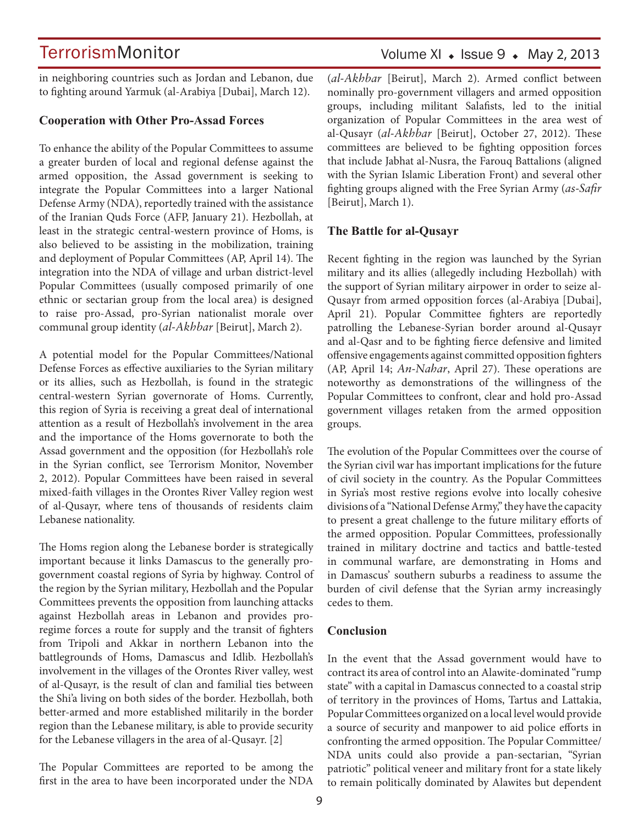in neighboring countries such as Jordan and Lebanon, due to fighting around Yarmuk (al-Arabiya [Dubai], March 12).

#### **Cooperation with Other Pro-Assad Forces**

To enhance the ability of the Popular Committees to assume a greater burden of local and regional defense against the armed opposition, the Assad government is seeking to integrate the Popular Committees into a larger National Defense Army (NDA), reportedly trained with the assistance of the Iranian Quds Force (AFP, January 21). Hezbollah, at least in the strategic central-western province of Homs, is also believed to be assisting in the mobilization, training and deployment of Popular Committees (AP, April 14). The integration into the NDA of village and urban district-level Popular Committees (usually composed primarily of one ethnic or sectarian group from the local area) is designed to raise pro-Assad, pro-Syrian nationalist morale over communal group identity (*al-Akhbar* [Beirut], March 2).

A potential model for the Popular Committees/National Defense Forces as effective auxiliaries to the Syrian military or its allies, such as Hezbollah, is found in the strategic central-western Syrian governorate of Homs. Currently, this region of Syria is receiving a great deal of international attention as a result of Hezbollah's involvement in the area and the importance of the Homs governorate to both the Assad government and the opposition (for Hezbollah's role in the Syrian conflict, see Terrorism Monitor, November 2, 2012). Popular Committees have been raised in several mixed-faith villages in the Orontes River Valley region west of al-Qusayr, where tens of thousands of residents claim Lebanese nationality.

The Homs region along the Lebanese border is strategically important because it links Damascus to the generally progovernment coastal regions of Syria by highway. Control of the region by the Syrian military, Hezbollah and the Popular Committees prevents the opposition from launching attacks against Hezbollah areas in Lebanon and provides proregime forces a route for supply and the transit of fighters from Tripoli and Akkar in northern Lebanon into the battlegrounds of Homs, Damascus and Idlib. Hezbollah's involvement in the villages of the Orontes River valley, west of al-Qusayr, is the result of clan and familial ties between the Shi'a living on both sides of the border. Hezbollah, both better-armed and more established militarily in the border region than the Lebanese military, is able to provide security for the Lebanese villagers in the area of al-Qusayr. [2]

The Popular Committees are reported to be among the first in the area to have been incorporated under the NDA (*al-Akhbar* [Beirut], March 2). Armed conflict between nominally pro-government villagers and armed opposition groups, including militant Salafists, led to the initial organization of Popular Committees in the area west of al-Qusayr (*al-Akhbar* [Beirut], October 27, 2012). These committees are believed to be fighting opposition forces that include Jabhat al-Nusra, the Farouq Battalions (aligned with the Syrian Islamic Liberation Front) and several other fighting groups aligned with the Free Syrian Army (*as-Safir*  [Beirut], March 1).

#### **The Battle for al-Qusayr**

Recent fighting in the region was launched by the Syrian military and its allies (allegedly including Hezbollah) with the support of Syrian military airpower in order to seize al-Qusayr from armed opposition forces (al-Arabiya [Dubai], April 21). Popular Committee fighters are reportedly patrolling the Lebanese-Syrian border around al-Qusayr and al-Qasr and to be fighting fierce defensive and limited offensive engagements against committed opposition fighters (AP, April 14; *An-Nahar*, April 27). These operations are noteworthy as demonstrations of the willingness of the Popular Committees to confront, clear and hold pro-Assad government villages retaken from the armed opposition groups.

The evolution of the Popular Committees over the course of the Syrian civil war has important implications for the future of civil society in the country. As the Popular Committees in Syria's most restive regions evolve into locally cohesive divisions of a "National Defense Army," they have the capacity to present a great challenge to the future military efforts of the armed opposition. Popular Committees, professionally trained in military doctrine and tactics and battle-tested in communal warfare, are demonstrating in Homs and in Damascus' southern suburbs a readiness to assume the burden of civil defense that the Syrian army increasingly cedes to them.

#### **Conclusion**

In the event that the Assad government would have to contract its area of control into an Alawite-dominated "rump state" with a capital in Damascus connected to a coastal strip of territory in the provinces of Homs, Tartus and Lattakia, Popular Committees organized on a local level would provide a source of security and manpower to aid police efforts in confronting the armed opposition. The Popular Committee/ NDA units could also provide a pan-sectarian, "Syrian patriotic" political veneer and military front for a state likely to remain politically dominated by Alawites but dependent